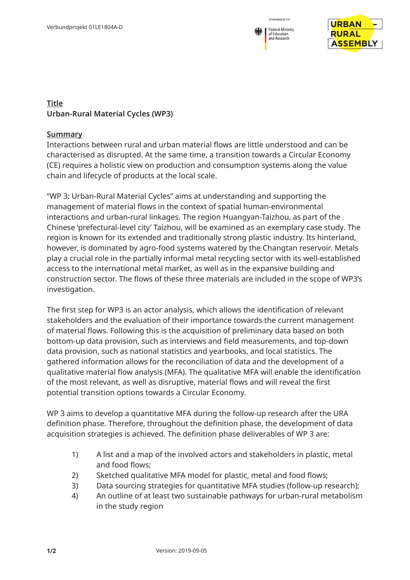



## **Title Urban-Rural Material Cycles (WP3)**

## **Summary**

Interactions between rural and urban material flows are little understood and can be characterised as disrupted. At the same time, a transition towards a Circular Economy (CE) requires a holistic view on production and consumption systems along the value chain and lifecycle of products at the local scale.

"WP 3: Urban-Rural Material Cycles" aims at understanding and supporting the management of material flows in the context of spatial human-environmental interactions and urban-rural linkages. The region Huangyan-Taizhou, as part of the Chinese 'prefectural-level city' Taizhou, will be examined as an exemplary case study. The region is known for its extended and traditionally strong plastic industry. Its hinterland, however, is dominated by agro-food systems watered by the Changtan reservoir. Metals play a crucial role in the partially informal metal recycling sector with its well-established access to the international metal market, as well as in the expansive building and construction sector. The flows of these three materials are included in the scope of WP3's investigation.

The first step for WP3 is an actor analysis, which allows the identification of relevant stakeholders and the evaluation of their importance towards the current management of material flows. Following this is the acquisition of preliminary data based on both bottom-up data provision, such as interviews and field measurements, and top-down data provision, such as national statistics and yearbooks, and local statistics. The gathered information allows for the reconciliation of data and the development of a qualitative material flow analysis (MFA). The qualitative MFA will enable the identification of the most relevant, as well as disruptive, material flows and will reveal the first potential transition options towards a Circular Economy.

WP 3 aims to develop a quantitative MFA during the follow-up research after the URA definition phase. Therefore, throughout the definition phase, the development of data acquisition strategies is achieved. The definition phase deliverables of WP 3 are:

- 1) A list and a map of the involved actors and stakeholders in plastic, metal and food flows;
- 2) Sketched qualitative MFA model for plastic, metal and food flows;
- 3) Data sourcing strategies for quantitative MFA studies (follow-up research);
- 4) An outline of at least two sustainable pathways for urban-rural metabolism in the study region